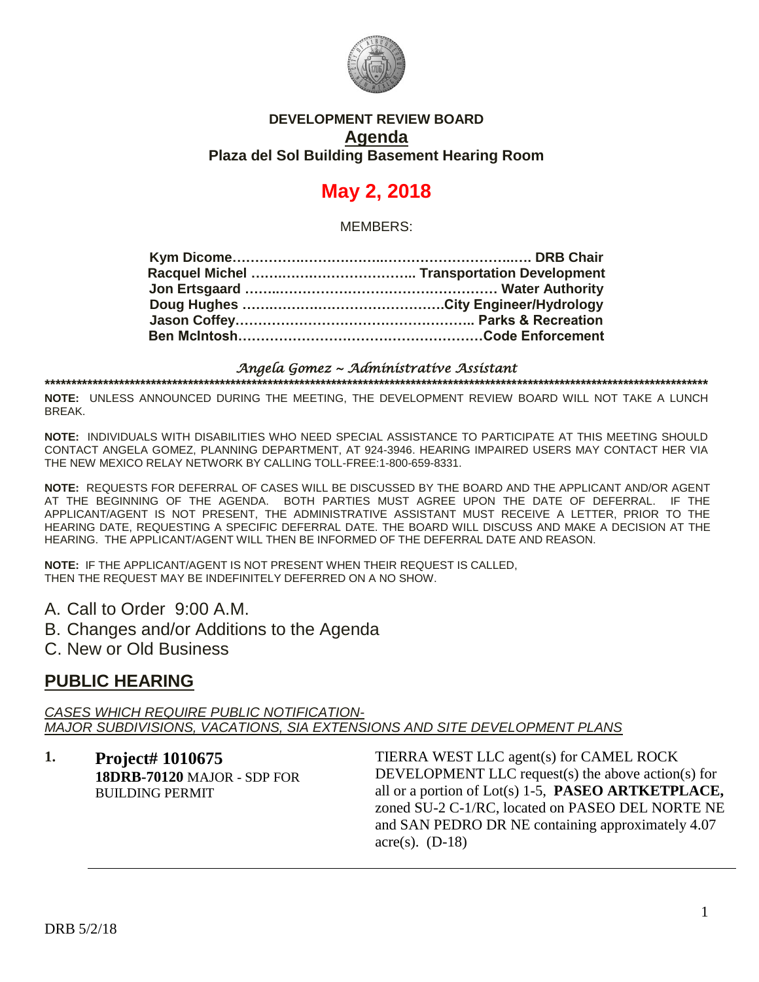

#### **DEVELOPMENT REVIEW BOARD Agenda Plaza del Sol Building Basement Hearing Room**

# **May 2, 2018**

MEMBERS:

#### *Angela Gomez ~ Administrative Assistant*  **\*\*\*\*\*\*\*\*\*\*\*\*\*\*\*\*\*\*\*\*\*\*\*\*\*\*\*\*\*\*\*\*\*\*\*\*\*\*\*\*\*\*\*\*\*\*\*\*\*\*\*\*\*\*\*\*\*\*\*\*\*\*\*\*\*\*\*\*\*\*\*\*\*\*\*\*\*\*\*\*\*\*\*\*\*\*\*\*\*\*\*\*\*\*\*\*\*\*\*\*\*\*\*\*\*\*\*\*\*\*\*\*\*\*\*\*\*\*\*\*\*\*\*\*\***

**NOTE:** UNLESS ANNOUNCED DURING THE MEETING, THE DEVELOPMENT REVIEW BOARD WILL NOT TAKE A LUNCH BREAK.

**NOTE:** INDIVIDUALS WITH DISABILITIES WHO NEED SPECIAL ASSISTANCE TO PARTICIPATE AT THIS MEETING SHOULD CONTACT ANGELA GOMEZ, PLANNING DEPARTMENT, AT 924-3946. HEARING IMPAIRED USERS MAY CONTACT HER VIA THE NEW MEXICO RELAY NETWORK BY CALLING TOLL-FREE:1-800-659-8331.

**NOTE:** REQUESTS FOR DEFERRAL OF CASES WILL BE DISCUSSED BY THE BOARD AND THE APPLICANT AND/OR AGENT AT THE BEGINNING OF THE AGENDA. BOTH PARTIES MUST AGREE UPON THE DATE OF DEFERRAL. IF THE APPLICANT/AGENT IS NOT PRESENT, THE ADMINISTRATIVE ASSISTANT MUST RECEIVE A LETTER, PRIOR TO THE HEARING DATE, REQUESTING A SPECIFIC DEFERRAL DATE. THE BOARD WILL DISCUSS AND MAKE A DECISION AT THE HEARING. THE APPLICANT/AGENT WILL THEN BE INFORMED OF THE DEFERRAL DATE AND REASON.

**NOTE:** IF THE APPLICANT/AGENT IS NOT PRESENT WHEN THEIR REQUEST IS CALLED, THEN THE REQUEST MAY BE INDEFINITELY DEFERRED ON A NO SHOW.

A. Call to Order 9:00 A.M.

B. Changes and/or Additions to the Agenda

C. New or Old Business

### **PUBLIC HEARING**

*CASES WHICH REQUIRE PUBLIC NOTIFICATION-MAJOR SUBDIVISIONS, VACATIONS, SIA EXTENSIONS AND SITE DEVELOPMENT PLANS*

**1. Project# 1010675 18DRB-70120** MAJOR - SDP FOR BUILDING PERMIT

TIERRA WEST LLC agent(s) for CAMEL ROCK DEVELOPMENT LLC request(s) the above action(s) for all or a portion of Lot(s) 1-5, **PASEO ARTKETPLACE,** zoned SU-2 C-1/RC, located on PASEO DEL NORTE NE and SAN PEDRO DR NE containing approximately 4.07 acre(s).  $(D-18)$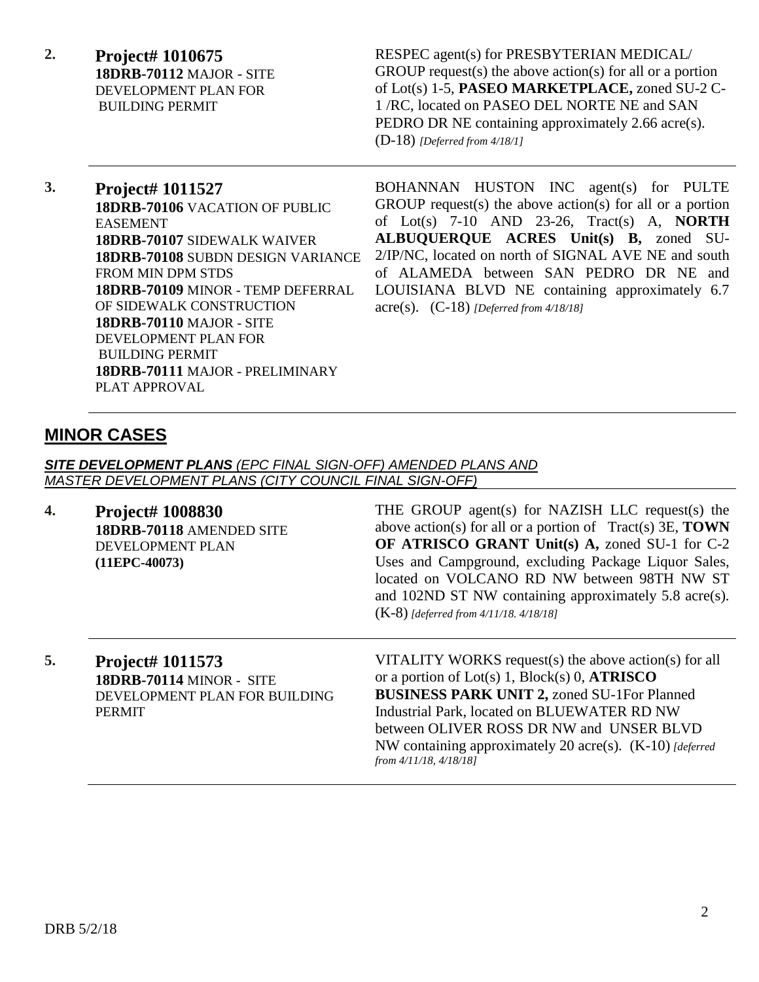**2. Project# 1010675 18DRB-70112** MAJOR - SITE DEVELOPMENT PLAN FOR BUILDING PERMIT

RESPEC agent(s) for PRESBYTERIAN MEDICAL/ GROUP request(s) the above action(s) for all or a portion of Lot(s) 1-5, **PASEO MARKETPLACE,** zoned SU-2 C-1 /RC, located on PASEO DEL NORTE NE and SAN PEDRO DR NE containing approximately 2.66 acre(s). (D-18) *[Deferred from 4/18/1]*

**3. Project# 1011527 18DRB-70106** VACATION OF PUBLIC EASEMENT **18DRB-70107** SIDEWALK WAIVER **18DRB-70108** SUBDN DESIGN VARIANCE FROM MIN DPM STDS **18DRB-70109** MINOR - TEMP DEFERRAL OF SIDEWALK CONSTRUCTION **18DRB-70110** MAJOR - SITE DEVELOPMENT PLAN FOR BUILDING PERMIT **18DRB-70111** MAJOR - PRELIMINARY PLAT APPROVAL

BOHANNAN HUSTON INC agent(s) for PULTE GROUP request(s) the above action(s) for all or a portion of Lot(s) 7-10 AND 23-26, Tract(s) A, **NORTH ALBUQUERQUE ACRES Unit(s) B,** zoned SU-2/IP/NC, located on north of SIGNAL AVE NE and south of ALAMEDA between SAN PEDRO DR NE and LOUISIANA BLVD NE containing approximately 6.7 acre(s). (C-18) *[Deferred from 4/18/18]*

# **MINOR CASES**

*SITE DEVELOPMENT PLANS (EPC FINAL SIGN-OFF) AMENDED PLANS AND MASTER DEVELOPMENT PLANS (CITY COUNCIL FINAL SIGN-OFF)*

**4. Project# 1008830 18DRB-70118** AMENDED SITE DEVELOPMENT PLAN **(11EPC-40073)**

THE GROUP agent(s) for NAZISH LLC request(s) the above action(s) for all or a portion of Tract(s) 3E, **TOWN OF ATRISCO GRANT Unit(s) A,** zoned SU-1 for C-2 Uses and Campground, excluding Package Liquor Sales, located on VOLCANO RD NW between 98TH NW ST and 102ND ST NW containing approximately 5.8 acre(s). (K-8) *[deferred from 4/11/18. 4/18/18]*

**5. Project# 1011573 18DRB-70114** MINOR - SITE DEVELOPMENT PLAN FOR BUILDING PERMIT

VITALITY WORKS request(s) the above action(s) for all or a portion of Lot(s) 1, Block(s) 0, **ATRISCO BUSINESS PARK UNIT 2,** zoned SU-1For Planned Industrial Park, located on BLUEWATER RD NW between OLIVER ROSS DR NW and UNSER BLVD NW containing approximately 20 acre(s). (K-10) *[deferred from 4/11/18, 4/18/18]*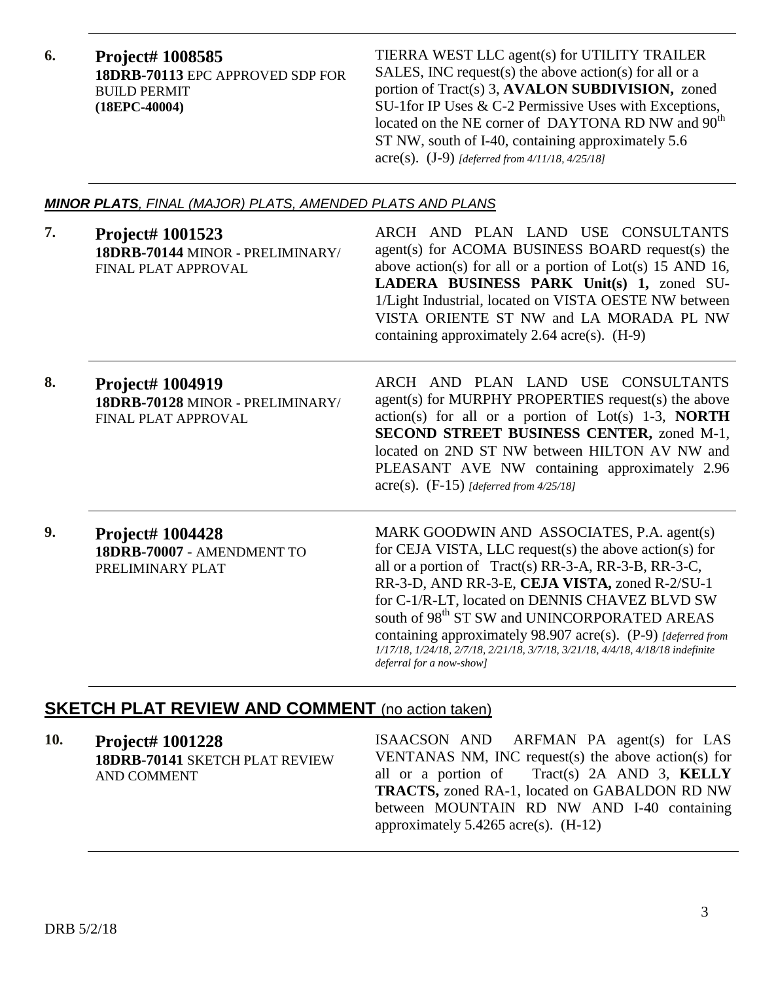**6. Project# 1008585 18DRB-70113** EPC APPROVED SDP FOR BUILD PERMIT **(18EPC-40004)**

TIERRA WEST LLC agent(s) for UTILITY TRAILER SALES, INC request(s) the above action(s) for all or a portion of Tract(s) 3, **AVALON SUBDIVISION,** zoned SU-1for IP Uses & C-2 Permissive Uses with Exceptions, located on the NE corner of DAYTONA RD NW and  $90^{th}$ ST NW, south of I-40, containing approximately 5.6 acre(s). (J-9) *[deferred from 4/11/18, 4/25/18]*

#### *MINOR PLATS, FINAL (MAJOR) PLATS, AMENDED PLATS AND PLANS*

| 7. | Project# 1001523<br>18DRB-70144 MINOR - PRELIMINARY/<br><b>FINAL PLAT APPROVAL</b> | ARCH AND PLAN LAND USE CONSULTANTS<br>agent(s) for ACOMA BUSINESS BOARD request(s) the<br>above action(s) for all or a portion of Lot(s) 15 AND 16,<br>LADERA BUSINESS PARK Unit(s) 1, zoned SU-<br>1/Light Industrial, located on VISTA OESTE NW between<br>VISTA ORIENTE ST NW and LA MORADA PL NW<br>containing approximately 2.64 $\arccos$ . (H-9)                                                                                                                                                       |
|----|------------------------------------------------------------------------------------|---------------------------------------------------------------------------------------------------------------------------------------------------------------------------------------------------------------------------------------------------------------------------------------------------------------------------------------------------------------------------------------------------------------------------------------------------------------------------------------------------------------|
| 8. | <b>Project# 1004919</b><br>18DRB-70128 MINOR - PRELIMINARY/<br>FINAL PLAT APPROVAL | ARCH AND PLAN LAND USE CONSULTANTS<br>agent(s) for MURPHY PROPERTIES request(s) the above<br>$action(s)$ for all or a portion of Lot(s) 1-3, <b>NORTH</b><br>SECOND STREET BUSINESS CENTER, zoned M-1,<br>located on 2ND ST NW between HILTON AV NW and<br>PLEASANT AVE NW containing approximately 2.96<br>$\text{acre}(s)$ . (F-15) [deferred from 4/25/18]                                                                                                                                                 |
| 9. | <b>Project# 1004428</b><br>18DRB-70007 - AMENDMENT TO<br>PRELIMINARY PLAT          | MARK GOODWIN AND ASSOCIATES, P.A. agent(s)<br>for CEJA VISTA, LLC request(s) the above action(s) for<br>all or a portion of Tract(s) RR-3-A, RR-3-B, RR-3-C,<br>RR-3-D, AND RR-3-E, CEJA VISTA, zoned R-2/SU-1<br>for C-1/R-LT, located on DENNIS CHAVEZ BLVD SW<br>south of 98 <sup>th</sup> ST SW and UNINCORPORATED AREAS<br>containing approximately 98.907 acre(s). $(P-9)$ [deferred from<br>1/17/18, 1/24/18, 2/7/18, 2/21/18, 3/7/18, 3/21/18, 4/4/18, 4/18/18 indefinite<br>deferral for a now-show] |

# **SKETCH PLAT REVIEW AND COMMENT** (no action taken)

**10. Project# 1001228 18DRB-70141** SKETCH PLAT REVIEW AND COMMENT

ISAACSON AND ARFMAN PA agent(s) for LAS VENTANAS NM, INC request(s) the above action(s) for all or a portion of Tract(s) 2A AND 3, **KELLY TRACTS,** zoned RA-1, located on GABALDON RD NW between MOUNTAIN RD NW AND I-40 containing approximately 5.4265 acre(s). (H-12)